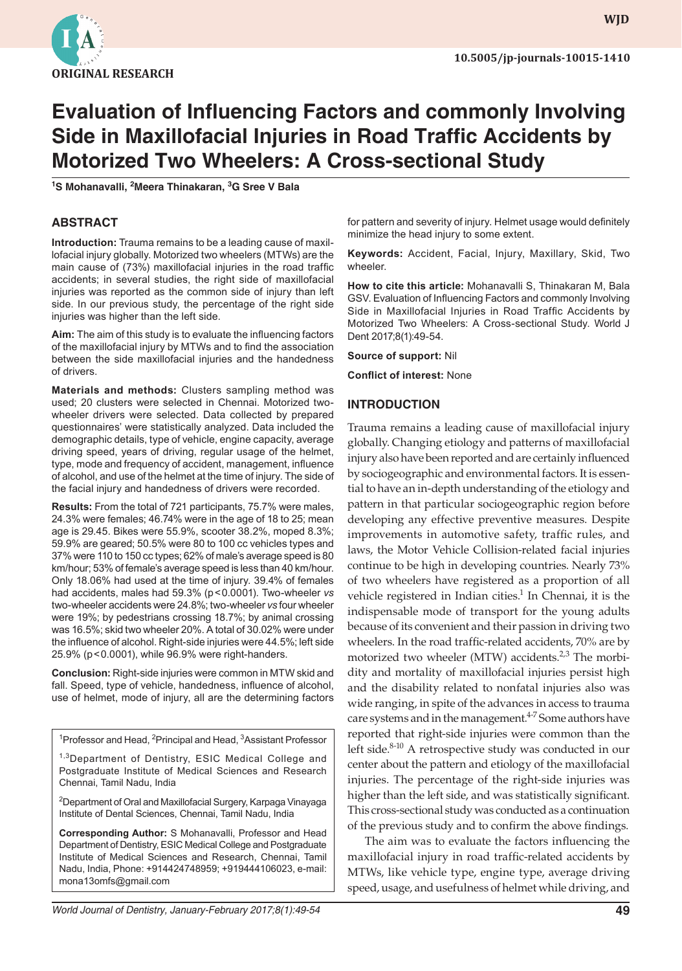

**wjd WJD**

# **Evaluation of Influencing Factors and commonly Involving Side in Maxillofacial Injuries in Road Traffic Accidents by Motorized Two Wheelers: A Cross-sectional Study**

**1 S Mohanavalli, <sup>2</sup> Meera Thinakaran, <sup>3</sup> G Sree V Bala**

## **ABSTRACT**

**Introduction:** Trauma remains to be a leading cause of maxillofacial injury globally. Motorized two wheelers (MTWs) are the main cause of (73%) maxillofacial injuries in the road traffic accidents; in several studies, the right side of maxillofacial injuries was reported as the common side of injury than left side. In our previous study, the percentage of the right side injuries was higher than the left side.

**Aim:** The aim of this study is to evaluate the influencing factors of the maxillofacial injury by MTWs and to find the association between the side maxillofacial injuries and the handedness of drivers.

**Materials and methods:** Clusters sampling method was used; 20 clusters were selected in Chennai. Motorized twowheeler drivers were selected. Data collected by prepared questionnaires' were statistically analyzed. Data included the demographic details, type of vehicle, engine capacity, average driving speed, years of driving, regular usage of the helmet, type, mode and frequency of accident, management, influence of alcohol, and use of the helmet at the time of injury. The side of the facial injury and handedness of drivers were recorded.

**Results:** From the total of 721 participants, 75.7% were males, 24.3% were females; 46.74% were in the age of 18 to 25; mean age is 29.45. Bikes were 55.9%, scooter 38.2%, moped 8.3%; 59.9% are geared; 50.5% were 80 to 100 cc vehicles types and 37% were 110 to 150 cc types; 62% of male's average speed is 80 km/hour; 53% of female's average speed is less than 40 km/hour. Only 18.06% had used at the time of injury. 39.4% of females had accidents, males had 59.3% (p<0.0001). Two-wheeler *vs* two-wheeler accidents were 24.8%; two-wheeler *vs* four wheeler were 19%; by pedestrians crossing 18.7%; by animal crossing was 16.5%; skid two wheeler 20%. A total of 30.02% were under the influence of alcohol. Right-side injuries were 44.5%; left side 25.9% (p<0.0001), while 96.9% were right-handers.

**Conclusion:** Right-side injuries were common in MTW skid and fall. Speed, type of vehicle, handedness, influence of alcohol, use of helmet, mode of injury, all are the determining factors

<sup>1</sup> Professor and Head, <sup>2</sup> Principal and Head, <sup>3</sup> Assistant Professor

<sup>1,3</sup>Department of Dentistry, ESIC Medical College and Postgraduate Institute of Medical Sciences and Research Chennai, Tamil Nadu, India

2 Department of Oral and Maxillofacial Surgery, Karpaga Vinayaga Institute of Dental Sciences, Chennai, Tamil Nadu, India

**Corresponding Author:** S Mohanavalli, Professor and Head Department of Dentistry, ESIC Medical College and Postgraduate Institute of Medical Sciences and Research, Chennai, Tamil Nadu, India, Phone: +914424748959; +919444106023, e-mail: mona13omfs@gmail.com

for pattern and severity of injury. Helmet usage would definitely minimize the head injury to some extent.

**Keywords:** Accident, Facial, Injury, Maxillary, Skid, Two wheeler.

**How to cite this article:** Mohanavalli S, Thinakaran M, Bala GSV. Evaluation of Influencing Factors and commonly Involving Side in Maxillofacial Injuries in Road Traffic Accidents by Motorized Two Wheelers: A Cross-sectional Study. World J Dent 2017;8(1):49-54.

**Source of support:** Nil

**Conflict of interest:** None

#### **INTRODUCTION**

Trauma remains a leading cause of maxillofacial injury globally. Changing etiology and patterns of maxillofacial injury also have been reported and are certainly influenced by sociogeographic and environmental factors. It is essential to have an in-depth understanding of the etiology and pattern in that particular sociogeographic region before developing any effective preventive measures. Despite improvements in automotive safety, traffic rules, and laws, the Motor Vehicle Collision-related facial injuries continue to be high in developing countries. Nearly 73% of two wheelers have registered as a proportion of all vehicle registered in Indian cities. $1$  In Chennai, it is the indispensable mode of transport for the young adults because of its convenient and their passion in driving two wheelers. In the road traffic-related accidents, 70% are by motorized two wheeler (MTW) accidents. $2,3$  The morbidity and mortality of maxillofacial injuries persist high and the disability related to nonfatal injuries also was wide ranging, in spite of the advances in access to trauma care systems and in the management. $4-7$  Some authors have reported that right-side injuries were common than the left side.<sup>8-10</sup> A retrospective study was conducted in our center about the pattern and etiology of the maxillofacial injuries. The percentage of the right-side injuries was higher than the left side, and was statistically significant. This cross-sectional study was conducted as a continuation of the previous study and to confirm the above findings.

The aim was to evaluate the factors influencing the maxillofacial injury in road traffic-related accidents by MTWs, like vehicle type, engine type, average driving speed, usage, and usefulness of helmet while driving, and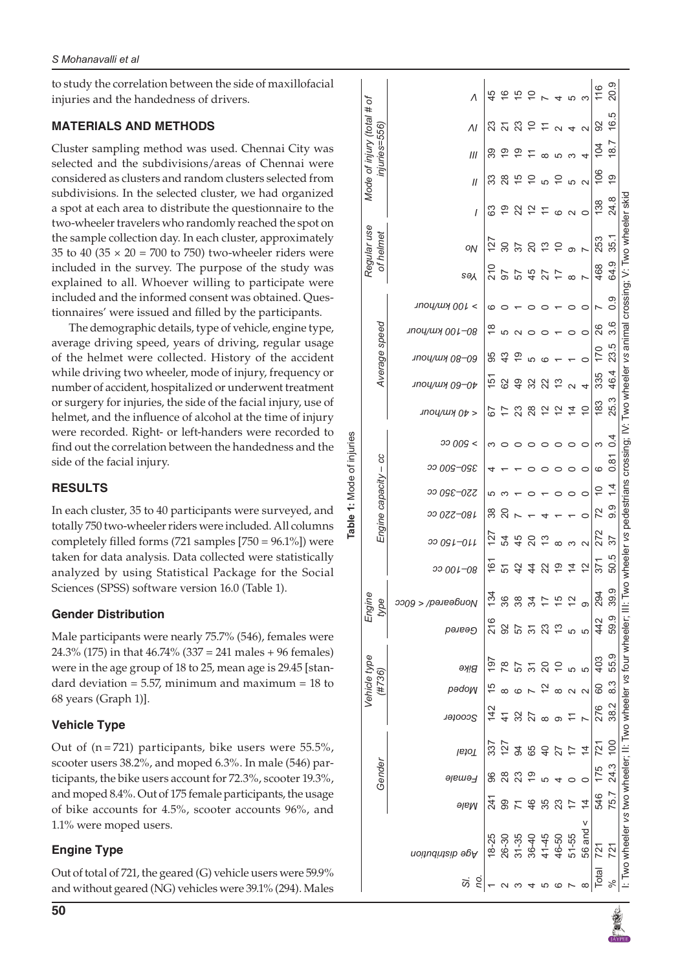to study the correlation between the side of maxillofacial injuries and the handedness of drivers.

### **MATERIALS AND METHODS**

Cluster sampling method was used. Chennai City was selected and the subdivisions/areas of Chennai were considered as clusters and random clusters selected from subdivisions. In the selected cluster, we had organized a spot at each area to distribute the questionnaire to the two-wheeler travelers who randomly reached the spot on the sample collection day. In each cluster, approximately 35 to 40 (35  $\times$  20 = 700 to 750) two-wheeler riders were included in the survey. The purpose of the study was explained to all. Whoever willing to participate were included and the informed consent was obtained. Questionnaires' were issued and filled by the participants.

The demographic details, type of vehicle, engine type, average driving speed, years of driving, regular usage of the helmet were collected. History of the accident while driving two wheeler, mode of injury, frequency or number of accident, hospitalized or underwent treatment or surgery for injuries, the side of the facial injury, use of helmet, and the influence of alcohol at the time of injury were recorded. Right- or left-handers were recorded to find out the correlation between the handedness and the side of the facial injury.

## **RESULTS**

In each cluster, 35 to 40 participants were surveyed, and totally 750 two-wheeler riders were included. All columns completely filled forms (721 samples [750 = 96.1%]) were taken for data analysis. Data collected were statistically analyzed by using Statistical Package for the Social Sciences (SPSS) software version 16.0 (Table 1).

### **Gender Distribution**

Male participants were nearly 75.7% (546), females were 24.3% (175) in that 46.74% (337 = 241 males + 96 females) were in the age group of 18 to 25, mean age is 29.45 [standard deviation  $= 5.57$ , minimum and maximum  $= 18$  to 68 years (Graph 1)].

# **Vehicle Type**

Out of  $(n = 721)$  participants, bike users were 55.5%, scooter users 38.2%, and moped 6.3%. In male (546) participants, the bike users account for 72.3%, scooter 19.3%, and moped 8.4%. Out of 175 female participants, the usage of bike accounts for 4.5%, scooter accounts 96%, and 1.1% were moped users.

# **Engine Type**

Out of total of 721, the geared (G) vehicle users were 59.9% and without geared (NG) vehicles were 39.1% (294). Males

| Table 1: Mode of injuries | # of<br>Mode of injury (total<br>injuries=556) | Λ                      | 45              | $\frac{6}{1}$ | $\frac{5}{3}$  | ₽              |                |                | L٥                                   | ო                 | 116        | 20.9          |                                                                                                                                                                   |
|---------------------------|------------------------------------------------|------------------------|-----------------|---------------|----------------|----------------|----------------|----------------|--------------------------------------|-------------------|------------|---------------|-------------------------------------------------------------------------------------------------------------------------------------------------------------------|
|                           |                                                | ΛI                     |                 |               | ಔ              | ₽              |                |                |                                      | $\sim$            | 92         | 16.5          |                                                                                                                                                                   |
|                           |                                                | III                    | ႙               | <u>ဇ</u>      | စ္             |                |                |                |                                      | 4                 | 104        | 18.7          |                                                                                                                                                                   |
|                           |                                                | $\mathcal{U}$          |                 | 28            |                |                | Ю              |                | 5                                    | $\mathbf{\Omega}$ | 106        | <u>ဝု</u>     |                                                                                                                                                                   |
|                           |                                                | I                      | සි              | Q             | ನ              | 51             |                | ဖ              | $\mathbf{\Omega}$                    | $\circ$           | 138        | 24.8          | I: Two wheeler vs two wheeler; II: Two wheeler vs four wheeler; III: Two wheeler vs pedestrians crossing; IV: Two wheeler vs animal crossing; V: Two wheeler skid |
|                           | Regular use<br>of helmet                       | ON                     | 127             | 30            | 57             | $\overline{c}$ | <u>ო</u>       | S              | σ                                    |                   | 253        | 35.1          |                                                                                                                                                                   |
|                           |                                                | <b>SAY</b>             | $\frac{0}{2}$   | 50            | 57             | 45             |                |                | $\infty$                             |                   | 468        | 64.9          |                                                                                                                                                                   |
|                           |                                                | > 100 кт/поик          | ဖ               |               |                |                |                |                |                                      | 0                 |            | 0.9           |                                                                                                                                                                   |
|                           |                                                | лоц/ш <i>л 001—0</i> 8 | ₽               | LO            |                |                |                |                |                                      | 0                 | 26         | 3.6           |                                                                                                                                                                   |
|                           | Average speed                                  | лпоц/шу 08-09          | မ္တ             | 43            | စ္             |                |                |                |                                      |                   | <u>571</u> | 23.5          |                                                                                                                                                                   |
|                           |                                                | лпоц/шу 09-0+          | 5               | 29            | $\frac{9}{4}$  | 32             | 22             | <u>ო</u>       |                                      | 4                 | 335        | 46.4          |                                                                                                                                                                   |
|                           |                                                | лпоц/шу $0$ р >        | 67              |               | ಔ              | 28             | $\tilde{c}$    | $\overline{c}$ | $\overline{4}$                       | $\overline{C}$    | 183        | 25.3          |                                                                                                                                                                   |
|                           | Engine capacity - cc                           | <b>009 &lt;</b>        |                 |               |                |                |                | 0              | 0                                    | $\circ$           | ω          | 0.4           |                                                                                                                                                                   |
|                           |                                                | <i><b>009–098</b></i>  |                 |               |                |                |                |                |                                      | 0                 | ဖ          | 0.81          |                                                                                                                                                                   |
|                           |                                                | ၁၁ ႐ဋ္ဌ<br>:0ZZ        |                 |               |                |                |                |                |                                      | $\circ$           | ₽          | $\frac{1}{4}$ |                                                                                                                                                                   |
|                           |                                                | 180-220 cc             | ္က              | ສ             |                |                |                |                |                                      | $\circ$           | 22         | 9.9           |                                                                                                                                                                   |
|                           |                                                | JJ 091-011             | <u>ְׂ</u> ׂ     | 54            | 45             | 20             | ≌              | $\infty$       | က                                    | $\mathbf{\Omega}$ | 272        | 37            |                                                                                                                                                                   |
|                           |                                                | <i><b>001-08</b></i>   | $\overline{6}$  | 51            | $^{42}$        | 4              | ನ              | စ္             | $\overline{4}$                       | $\overline{c}$    | 371        | 50.5          |                                                                                                                                                                   |
|                           | Engine<br>type                                 | 0009 > /paleabuoN      | 134             | 36            | 38             | 34             |                | ≌              | $\bar{\mathbin{\scriptstyle{\sim}}}$ |                   | 294        | 39.9          |                                                                                                                                                                   |
|                           |                                                | рәлеән                 | 216             | 92            | 57             | $\overline{5}$ | 23             | $\frac{1}{2}$  |                                      | ယ                 | 442        | 59.9          |                                                                                                                                                                   |
|                           | Vehicle type<br>(#736)                         | әиія                   | $\frac{1}{9}$   | 78            | 57             | $\overline{5}$ | 20             |                |                                      | 5                 | 403        | 55.9          |                                                                                                                                                                   |
|                           |                                                | pədow                  |                 | ∞             |                |                | 57             | $\infty$       | $\mathbf{\Omega}$                    | $\mathbf{\Omega}$ | 8          | က<br>ထ        |                                                                                                                                                                   |
|                           |                                                | <b>Scooter</b>         | 142             |               | 4 3 2<br>4 3 2 |                | $\infty$       | $\infty$       | 두                                    |                   | 276        | 38.2          |                                                                                                                                                                   |
|                           | Gender                                         | PQI                    | $\overline{33}$ | 127           | 34             | 65             | $\overline{Q}$ | 27             |                                      | $\overline{4}$    | 721        | 100           |                                                                                                                                                                   |
|                           |                                                | әјешә                  | 96              | 28            | 23             | $\overline{9}$ |                |                |                                      |                   | 175        | 24.3          |                                                                                                                                                                   |
|                           |                                                | əlaM                   | $\dot{z}$       | 99            |                | $\frac{46}{5}$ | 35             | 23             | $\overline{1}$                       | $\overline{4}$    | 546        | 75.7          |                                                                                                                                                                   |
|                           |                                                | Age distribution       |                 | 26-30         | $31 - 35$      | $36-40$        | 41-45          | 46-50          | 51-55                                | 56 and $\leq$     | 721        | 721           |                                                                                                                                                                   |
|                           | δú<br>õ                                        |                        |                 |               |                |                |                |                |                                      | ∞                 | Total      | $\frac{6}{5}$ |                                                                                                                                                                   |
|                           |                                                |                        |                 |               |                |                |                |                |                                      |                   |            |               |                                                                                                                                                                   |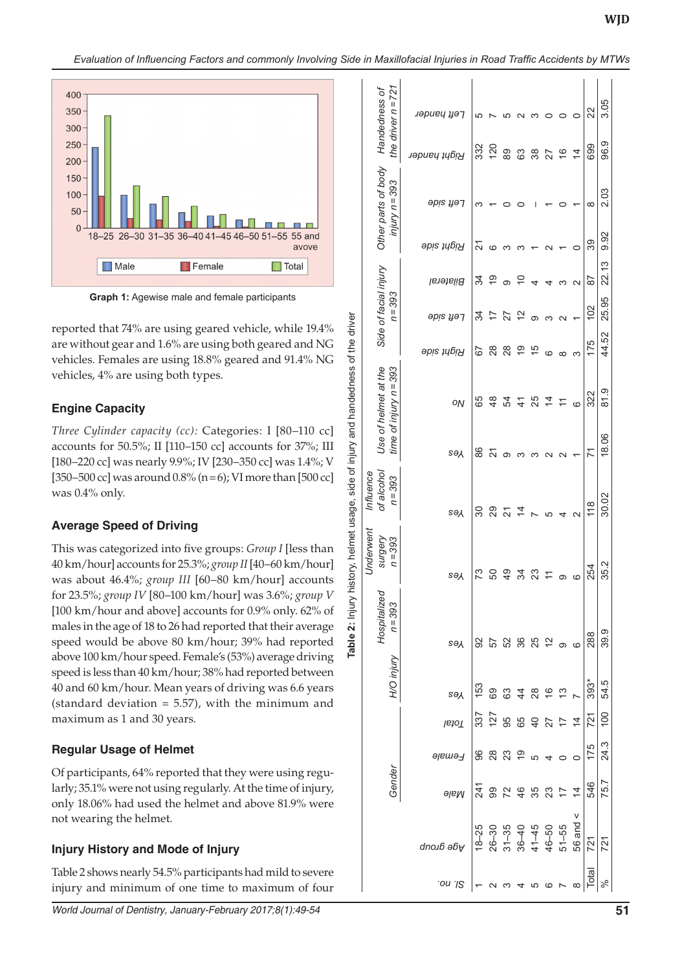$\mathbf{r}$  .

**Table 2:** Injury history, helmet usage, side of injury and handedness of the driver

 $\ddot{\mathbf{a}}$ Table

Injury history, helmet usage, side of injury and handedness of the driver



**Graph 1:** Agewise male and female participants

reported that 74% are using geared vehicle, while 19.4% are without gear and 1.6% are using both geared and NG vehicles. Females are using 18.8% geared and 91.4% NG vehicles, 4% are using both types.

### **Engine Capacity**

*Three Cylinder capacity (cc):* Categories: I [80–110 cc] accounts for 50.5%; II [110–150 cc] accounts for 37%; III [180–220 cc] was nearly 9.9%; IV [230–350 cc] was 1.4%; V [350–500 cc] was around  $0.8\%$  (n = 6); VI more than [500 cc] was 0.4% only.

### **Average Speed of Driving**

This was categorized into five groups: *Group I* [less than 40 km/hour] accounts for 25.3%; *group II* [40–60 km/hour] was about 46.4%; *group III* [60–80 km/hour] accounts for 23.5%; *group IV* [80–100 km/hour] was 3.6%; *group V* [100 km/hour and above] accounts for 0.9% only. 62% of males in the age of 18 to 26 had reported that their average speed would be above 80 km/hour; 39% had reported above 100 km/hour speed. Female's (53%) average driving speed is less than 40 km/hour; 38% had reported between 40 and 60 km/hour. Mean years of driving was 6.6 years (standard deviation  $= 5.57$ ), with the minimum and maximum as 1 and 30 years.

### **Regular Usage of Helmet**

Of participants, 64% reported that they were using regu larly; 35.1% were not using regularly. At the time of injury, only 18.06% had used the helmet and above 81.9% were not wearing the helmet.

### **Injury History and Mode of Injury**

Table 2 shows nearly 54.5% participants had mild to severe injury and minimum of one time to maximum of four

| the driver $n = 721$<br>Handedness of            | гөц үзэг         | ပ              |               |                                                  |                |                |                 | 0               | 0                 | 22             | 3.05             |  |
|--------------------------------------------------|------------------|----------------|---------------|--------------------------------------------------|----------------|----------------|-----------------|-----------------|-------------------|----------------|------------------|--|
|                                                  | кідрі һапдег     | 332            | 120           | 89                                               | 63             | 38             | 27              | $\frac{6}{5}$   | $\overline{4}$    | 699            | 96.9             |  |
| Other parts of body<br>$injury n = 393$          | əpis µə⁊         | ∞              |               |                                                  |                |                |                 |                 |                   | $\infty$       | 2.03             |  |
|                                                  | Right side       | ಸ              | ဖ             |                                                  |                |                |                 |                 | 0                 | 39             | 9.92             |  |
|                                                  | <b>Bilateral</b> | ಸ              | စ္            | တ                                                | ₽              |                |                 |                 | $\mathbf{\Omega}$ | డ్             | 22.13            |  |
| Side of facial injury<br>$n = 393$               | <b>Sbis fiel</b> | ಸ              | 7             | 27                                               | 2              | တ              |                 |                 |                   | 102            | 25.95            |  |
|                                                  | Right side       | 79             | 28            | $^{8}$                                           | $\frac{6}{5}$  | 15             | ဖ               | $\infty$        | ო                 | 175            | 44.52            |  |
| time of injury $n = 393$<br>Use of helmet at the | ON               | 89             | $\frac{8}{4}$ | R2                                               | $\frac{4}{3}$  | 25             | $\overline{4}$  | $\overline{1}$  | ဖ                 | 322            | 81.9             |  |
|                                                  | <b>SAY</b>       | 88             | 24            | ග                                                |                |                |                 |                 |                   | 71             | 18.06            |  |
| of alcohol<br>Influence<br>$n = 393$             | <b>SƏX</b>       | నె             | 29            | 21                                               | $\overline{4}$ |                | 5               | 4               | N                 | $\frac{8}{18}$ | 30.02            |  |
| <i><b>Jnderwent</b></i><br>surgery<br>$n = 393$  | sə∧              | 73             | င္တ           | QÞ                                               | ಸ              | $\mathbb{S}^2$ |                 | တ               | ဖ                 | 254            | 35.2             |  |
| Hospitalized<br>n = 393                          | <b>SAY</b>       | នៃ កូន និ ដូ ភ |               |                                                  |                |                |                 |                 | $\circ$           | 288            | 39.9             |  |
| H/O injury                                       | <b>SAY</b>       | 153            | 8848          |                                                  |                |                | $\overline{6}$  | $\frac{3}{2}$   |                   | 393*           | 54.5             |  |
|                                                  | Total            | 337            |               | 75889                                            |                |                | $\overline{27}$ | $\overline{1}$  | $\overline{4}$    | 721            | $\overline{100}$ |  |
|                                                  | Female           | 96             | 28            | 23                                               | ္ငာ            |                |                 |                 |                   | 175            | 24.3             |  |
| Gender                                           | <b>alaM</b>      | 241            | 99            | 72                                               | 46             | 35             | 23              | $\overline{11}$ | $\frac{4}{4}$     | 546            | 75.7             |  |
|                                                  | Age dronp        | $18 - 25$      | $26 - 30$     | $31 - 35$<br>$36 - 40$<br>$41 - 45$<br>$46 - 50$ |                |                |                 | $51 - 55$       | 56 and $\leq$     | 721            | 721              |  |
|                                                  | .on .I2          |                |               |                                                  |                | 5              |                 |                 | $\infty$          | Total          |                  |  |
|                                                  |                  |                |               |                                                  |                |                |                 |                 |                   |                |                  |  |

 $\overline{1}$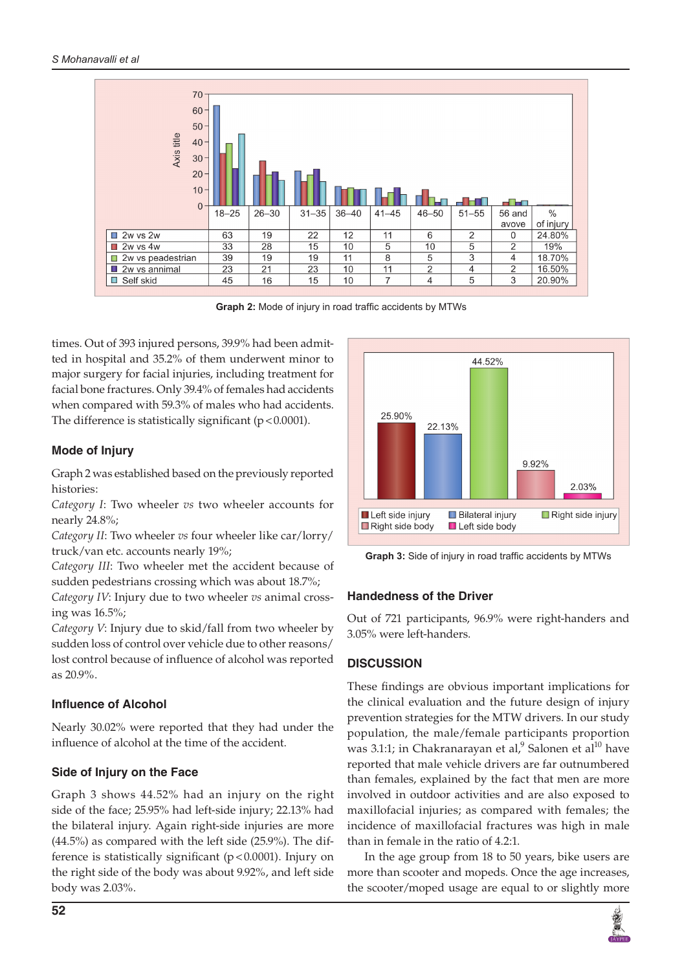

**Graph 2:** Mode of injury in road traffic accidents by MTWs

times. Out of 393 injured persons, 39.9% had been admitted in hospital and 35.2% of them underwent minor to major surgery for facial injuries, including treatment for facial bone fractures. Only 39.4% of females had accidents when compared with 59.3% of males who had accidents. The difference is statistically significant  $(p < 0.0001)$ .

#### **Mode of Injury**

Graph 2 was established based on the previously reported histories:

*Category I*: Two wheeler *vs* two wheeler accounts for nearly 24.8%;

*Category II*: Two wheeler *vs* four wheeler like car/lorry/ truck/van etc. accounts nearly 19%;

*Category III*: Two wheeler met the accident because of sudden pedestrians crossing which was about 18.7%;

*Category IV*: Injury due to two wheeler *vs* animal crossing was 16.5%;

*Category V*: Injury due to skid/fall from two wheeler by sudden loss of control over vehicle due to other reasons/ lost control because of influence of alcohol was reported as 20.9%.

#### **Influence of Alcohol**

Nearly 30.02% were reported that they had under the influence of alcohol at the time of the accident.

### **Side of Injury on the Face**

Graph 3 shows 44.52% had an injury on the right side of the face; 25.95% had left-side injury; 22.13% had the bilateral injury. Again right-side injuries are more (44.5%) as compared with the left side (25.9%). The difference is statistically significant (p<0.0001). Injury on the right side of the body was about 9.92%, and left side body was 2.03%.



**Graph 3:** Side of injury in road traffic accidents by MTWs

#### **Handedness of the Driver**

Out of 721 participants, 96.9% were right-handers and 3.05% were left-handers.

### **DISCUSSION**

These findings are obvious important implications for the clinical evaluation and the future design of injury prevention strategies for the MTW drivers. In our study population, the male/female participants proportion was 3.1:1; in Chakranarayan et al, $^9$  Salonen et al $^{10}$  have reported that male vehicle drivers are far outnumbered than females, explained by the fact that men are more involved in outdoor activities and are also exposed to maxillofacial injuries; as compared with females; the incidence of maxillofacial fractures was high in male than in female in the ratio of 4.2:1.

In the age group from 18 to 50 years, bike users are more than scooter and mopeds. Once the age increases, the scooter/moped usage are equal to or slightly more

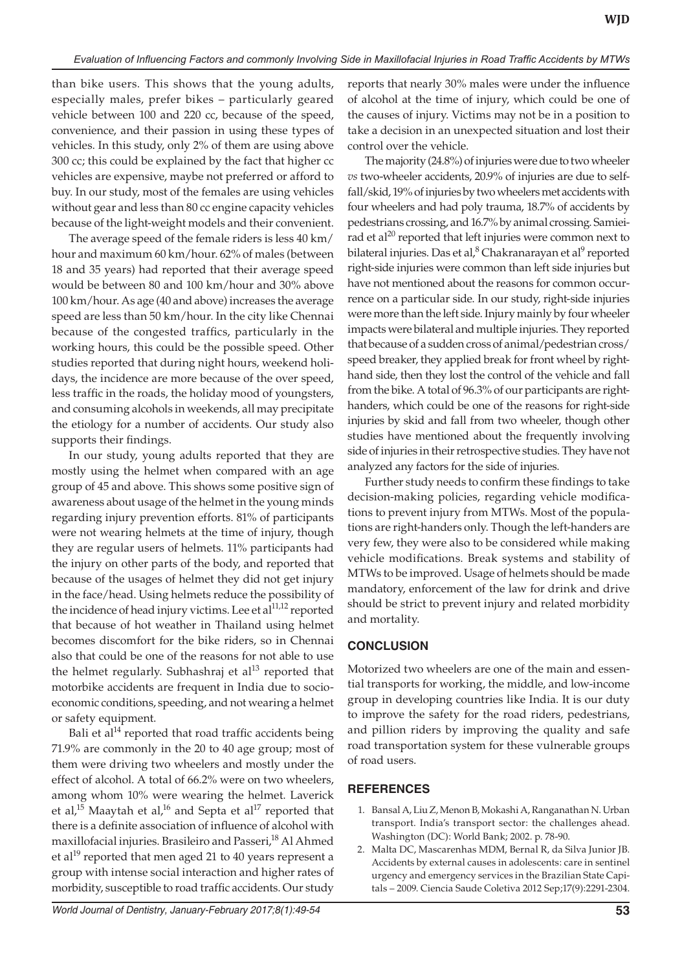than bike users. This shows that the young adults, especially males, prefer bikes – particularly geared vehicle between 100 and 220 cc, because of the speed, convenience, and their passion in using these types of vehicles. In this study, only 2% of them are using above 300 cc; this could be explained by the fact that higher cc vehicles are expensive, maybe not preferred or afford to buy. In our study, most of the females are using vehicles without gear and less than 80 cc engine capacity vehicles because of the light-weight models and their convenient.

The average speed of the female riders is less 40 km/ hour and maximum 60 km/hour. 62% of males (between 18 and 35 years) had reported that their average speed would be between 80 and 100 km/hour and 30% above 100 km/hour. As age (40 and above) increases the average speed are less than 50 km/hour. In the city like Chennai because of the congested traffics, particularly in the working hours, this could be the possible speed. Other studies reported that during night hours, weekend holidays, the incidence are more because of the over speed, less traffic in the roads, the holiday mood of youngsters, and consuming alcohols in weekends, all may precipitate the etiology for a number of accidents. Our study also supports their findings.

In our study, young adults reported that they are mostly using the helmet when compared with an age group of 45 and above. This shows some positive sign of awareness about usage of the helmet in the young minds regarding injury prevention efforts. 81% of participants were not wearing helmets at the time of injury, though they are regular users of helmets. 11% participants had the injury on other parts of the body, and reported that because of the usages of helmet they did not get injury in the face/head. Using helmets reduce the possibility of the incidence of head injury victims. Lee et al<sup>11,12</sup> reported that because of hot weather in Thailand using helmet becomes discomfort for the bike riders, so in Chennai also that could be one of the reasons for not able to use the helmet regularly. Subhashraj et al $^{13}$  reported that motorbike accidents are frequent in India due to socioeconomic conditions, speeding, and not wearing a helmet or safety equipment.

Bali et al $14$  reported that road traffic accidents being 71.9% are commonly in the 20 to 40 age group; most of them were driving two wheelers and mostly under the effect of alcohol. A total of 66.2% were on two wheelers, among whom 10% were wearing the helmet. Laverick et al,<sup>15</sup> Maaytah et al,<sup>16</sup> and Septa et al<sup>17</sup> reported that there is a definite association of influence of alcohol with maxillofacial injuries. Brasileiro and Passeri,<sup>18</sup> Al Ahmed et al<sup>19</sup> reported that men aged 21 to 40 years represent a group with intense social interaction and higher rates of morbidity, susceptible to road traffic accidents. Our study

reports that nearly 30% males were under the influence of alcohol at the time of injury, which could be one of the causes of injury. Victims may not be in a position to take a decision in an unexpected situation and lost their control over the vehicle.

The majority (24.8%) of injuries were due to two wheeler *vs* two-wheeler accidents, 20.9% of injuries are due to selffall/skid, 19% of injuries by two wheelers met accidents with four wheelers and had poly trauma, 18.7% of accidents by pedestrians crossing, and 16.7% by animal crossing. Samieirad et al $^{20}$  reported that left injuries were common next to bilateral injuries. Das et al,<sup>8</sup> Chakranarayan et al<sup>9</sup> reported right-side injuries were common than left side injuries but have not mentioned about the reasons for common occurrence on a particular side. In our study, right-side injuries were more than the left side. Injury mainly by four wheeler impacts were bilateral and multiple injuries. They reported that because of a sudden cross of animal/pedestrian cross/ speed breaker, they applied break for front wheel by righthand side, then they lost the control of the vehicle and fall from the bike. A total of 96.3% of our participants are righthanders, which could be one of the reasons for right-side injuries by skid and fall from two wheeler, though other studies have mentioned about the frequently involving side of injuries in their retrospective studies. They have not analyzed any factors for the side of injuries.

Further study needs to confirm these findings to take decision-making policies, regarding vehicle modifications to prevent injury from MTWs. Most of the populations are right-handers only. Though the left-handers are very few, they were also to be considered while making vehicle modifications. Break systems and stability of MTWs to be improved. Usage of helmets should be made mandatory, enforcement of the law for drink and drive should be strict to prevent injury and related morbidity and mortality.

# **CONCLUSION**

Motorized two wheelers are one of the main and essential transports for working, the middle, and low-income group in developing countries like India. It is our duty to improve the safety for the road riders, pedestrians, and pillion riders by improving the quality and safe road transportation system for these vulnerable groups of road users.

### **REFERENCES**

- 1. Bansal A, Liu Z, Menon B, Mokashi A, Ranganathan N. Urban transport. India's transport sector: the challenges ahead. Washington (DC): World Bank; 2002. p. 78-90.
- 2. Malta DC, Mascarenhas MDM, Bernal R, da Silva Junior JB. Accidents by external causes in adolescents: care in sentinel urgency and emergency services in the Brazilian State Capitals – 2009. Ciencia Saude Coletiva 2012 Sep;17(9):2291-2304.